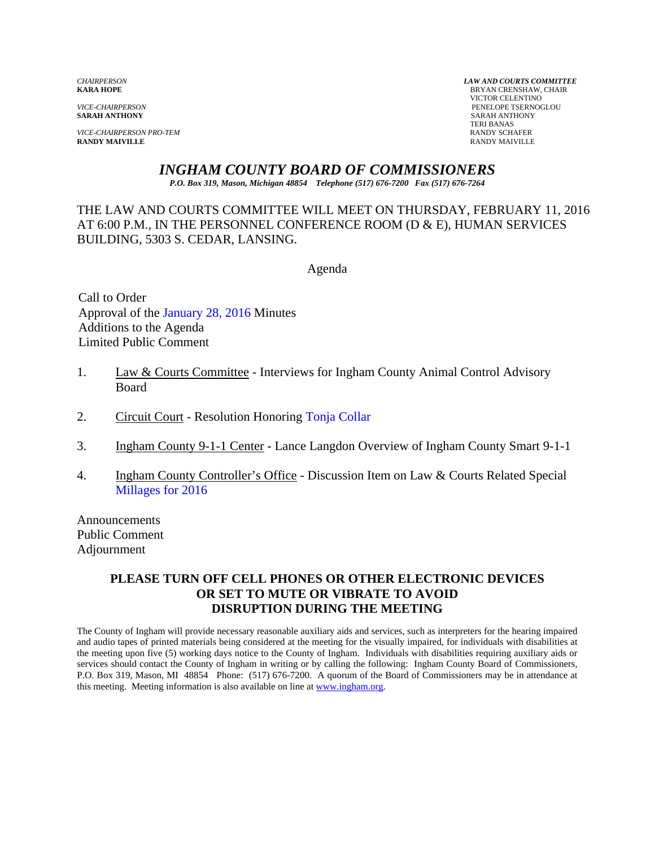**VICE-CHAIRPERSON PRO-TEM RANDY SCHAFER RANDY SCHAFER RANDY SCHAFER RANDY SCHAFER RANDY MAIVILLE RANDY MAIVILLE** RANDY MAIVILLE

*CHAIRPERSON LAW AND COURTS COMMITTEE* **BRYAN CRENSHAW, CHAIR**  VICTOR CELENTINO *VICE-CHAIRPERSON* PENELOPE TSERNOGLOU **SARAH ANTHONY** TERI BANAS

# *INGHAM COUNTY BOARD OF COMMISSIONERS*

*P.O. Box 319, Mason, Michigan 48854 Telephone (517) 676-7200 Fax (517) 676-7264*

THE LAW AND COURTS COMMITTEE WILL MEET ON THURSDAY, FEBRUARY 11, 2016 AT 6:00 P.M., IN THE PERSONNEL CONFERENCE ROOM (D & E), HUMAN SERVICES BUILDING, 5303 S. CEDAR, LANSING.

Agenda

Call to Order Approval o[f the January 28, 2016 Minutes](#page-1-0)  Additions to the Agenda Limited Public Comment

- 1. Law & Courts Committee Interviews for Ingham County Animal Control Advisory **Board**
- 2. Circuit Court Resolution Honori[ng Tonja Collar](#page-5-0)
- 3. Ingham County 9-1-1 Center Lance Langdon Overview of Ingham County Smart 9-1-1
- 4. Ingham County Controller's Office Discussion Item on Law & Courts Related Special [Millages for 2016](#page-7-0)

Announcements Public Comment Adjournment

### **PLEASE TURN OFF CELL PHONES OR OTHER ELECTRONIC DEVICES OR SET TO MUTE OR VIBRATE TO AVOID DISRUPTION DURING THE MEETING**

The County of Ingham will provide necessary reasonable auxiliary aids and services, such as interpreters for the hearing impaired and audio tapes of printed materials being considered at the meeting for the visually impaired, for individuals with disabilities at the meeting upon five (5) working days notice to the County of Ingham. Individuals with disabilities requiring auxiliary aids or services should contact the County of Ingham in writing or by calling the following: Ingham County Board of Commissioners, P.O. Box 319, Mason, MI 48854 Phone: (517) 676-7200. A quorum of the Board of Commissioners may be in attendance at this meeting. Meeting information is also available on line at www.ingham.org.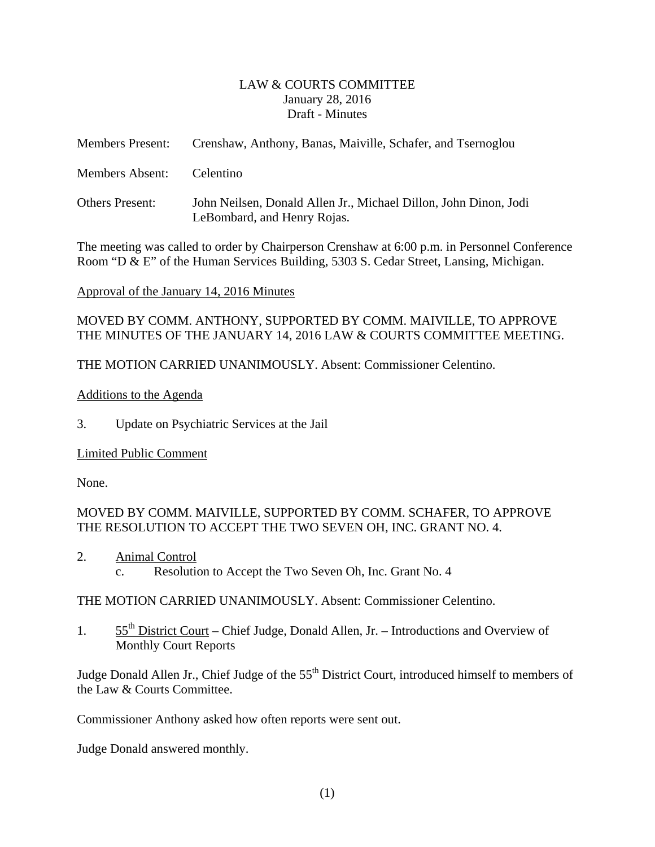### LAW & COURTS COMMITTEE January 28, 2016 Draft - Minutes

<span id="page-1-0"></span>

| <b>Members Present:</b> | Crenshaw, Anthony, Banas, Maiville, Schafer, and Tsernoglou                                     |
|-------------------------|-------------------------------------------------------------------------------------------------|
| <b>Members Absent:</b>  | Celentino                                                                                       |
| <b>Others Present:</b>  | John Neilsen, Donald Allen Jr., Michael Dillon, John Dinon, Jodi<br>LeBombard, and Henry Rojas. |

The meeting was called to order by Chairperson Crenshaw at 6:00 p.m. in Personnel Conference Room "D & E" of the Human Services Building, 5303 S. Cedar Street, Lansing, Michigan.

### Approval of the January 14, 2016 Minutes

MOVED BY COMM. ANTHONY, SUPPORTED BY COMM. MAIVILLE, TO APPROVE THE MINUTES OF THE JANUARY 14, 2016 LAW & COURTS COMMITTEE MEETING.

THE MOTION CARRIED UNANIMOUSLY. Absent: Commissioner Celentino.

### Additions to the Agenda

3. Update on Psychiatric Services at the Jail

# Limited Public Comment

None.

# MOVED BY COMM. MAIVILLE, SUPPORTED BY COMM. SCHAFER, TO APPROVE THE RESOLUTION TO ACCEPT THE TWO SEVEN OH, INC. GRANT NO. 4.

2. Animal Control c. Resolution to Accept the Two Seven Oh, Inc. Grant No. 4

### THE MOTION CARRIED UNANIMOUSLY. Absent: Commissioner Celentino.

1.  $55<sup>th</sup>$  District Court – Chief Judge, Donald Allen, Jr. – Introductions and Overview of Monthly Court Reports

Judge Donald Allen Jr., Chief Judge of the 55<sup>th</sup> District Court, introduced himself to members of the Law & Courts Committee.

Commissioner Anthony asked how often reports were sent out.

Judge Donald answered monthly.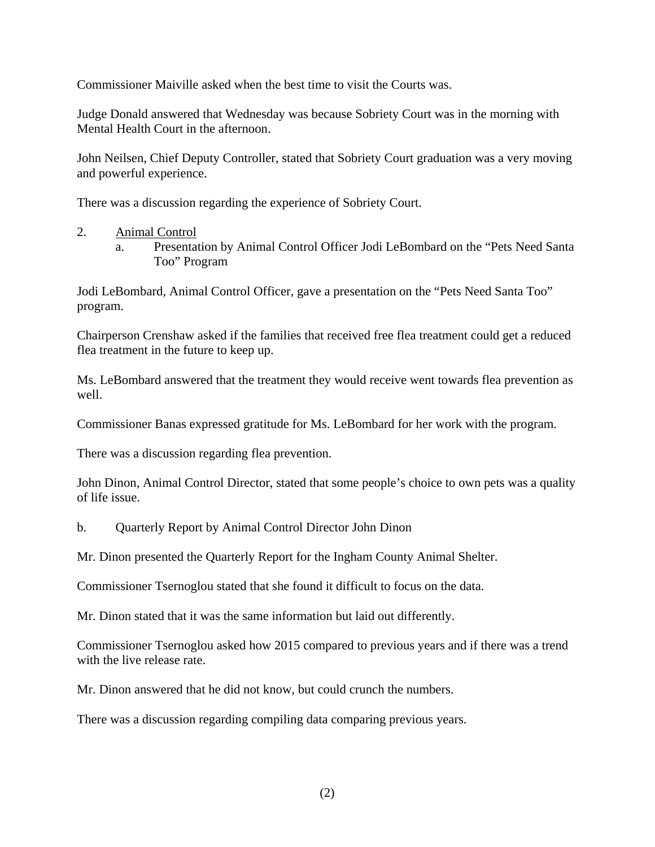Commissioner Maiville asked when the best time to visit the Courts was.

Judge Donald answered that Wednesday was because Sobriety Court was in the morning with Mental Health Court in the afternoon.

John Neilsen, Chief Deputy Controller, stated that Sobriety Court graduation was a very moving and powerful experience.

There was a discussion regarding the experience of Sobriety Court.

- 2. Animal Control
	- a. Presentation by Animal Control Officer Jodi LeBombard on the "Pets Need Santa Too" Program

Jodi LeBombard, Animal Control Officer, gave a presentation on the "Pets Need Santa Too" program.

Chairperson Crenshaw asked if the families that received free flea treatment could get a reduced flea treatment in the future to keep up.

Ms. LeBombard answered that the treatment they would receive went towards flea prevention as well.

Commissioner Banas expressed gratitude for Ms. LeBombard for her work with the program.

There was a discussion regarding flea prevention.

John Dinon, Animal Control Director, stated that some people's choice to own pets was a quality of life issue.

b. Quarterly Report by Animal Control Director John Dinon

Mr. Dinon presented the Quarterly Report for the Ingham County Animal Shelter.

Commissioner Tsernoglou stated that she found it difficult to focus on the data.

Mr. Dinon stated that it was the same information but laid out differently.

Commissioner Tsernoglou asked how 2015 compared to previous years and if there was a trend with the live release rate.

Mr. Dinon answered that he did not know, but could crunch the numbers.

There was a discussion regarding compiling data comparing previous years.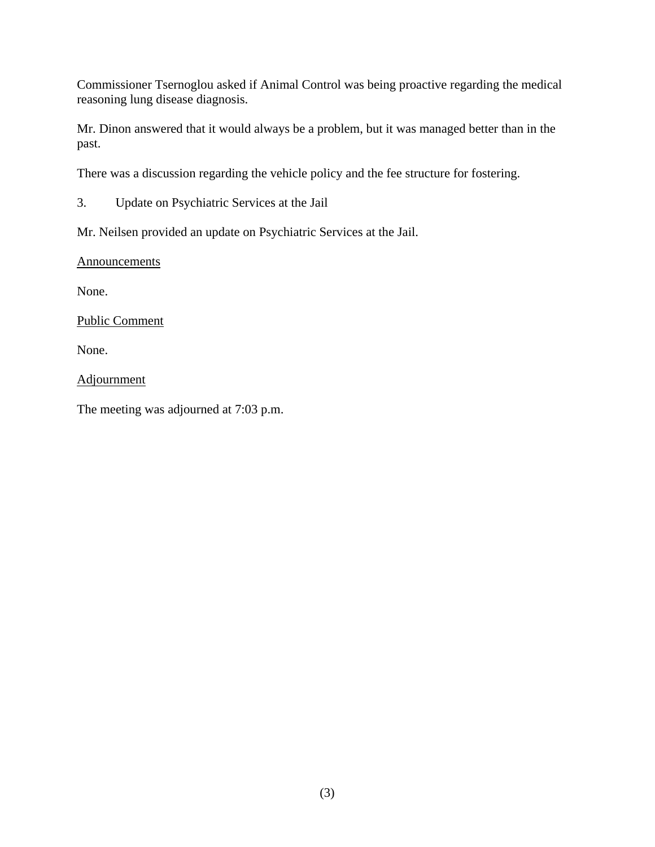Commissioner Tsernoglou asked if Animal Control was being proactive regarding the medical reasoning lung disease diagnosis.

Mr. Dinon answered that it would always be a problem, but it was managed better than in the past.

There was a discussion regarding the vehicle policy and the fee structure for fostering.

3. Update on Psychiatric Services at the Jail

Mr. Neilsen provided an update on Psychiatric Services at the Jail.

**Announcements** 

None.

Public Comment

None.

Adjournment

The meeting was adjourned at 7:03 p.m.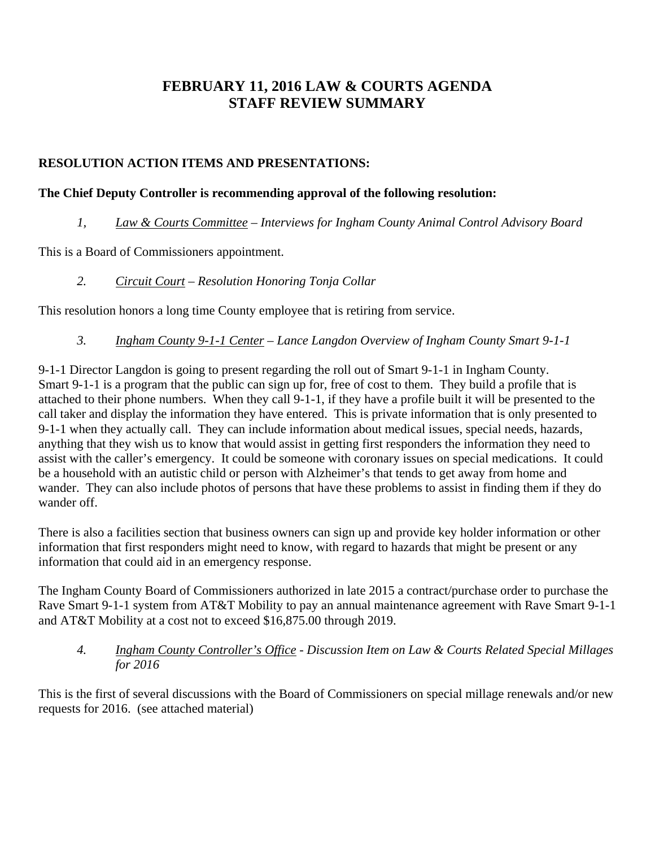# **FEBRUARY 11, 2016 LAW & COURTS AGENDA STAFF REVIEW SUMMARY**

# **RESOLUTION ACTION ITEMS AND PRESENTATIONS:**

# **The Chief Deputy Controller is recommending approval of the following resolution:**

# *1, Law & Courts Committee – Interviews for Ingham County Animal Control Advisory Board*

This is a Board of Commissioners appointment.

*2. Circuit Court – Resolution Honoring Tonja Collar* 

This resolution honors a long time County employee that is retiring from service.

*3. Ingham County 9-1-1 Center – Lance Langdon Overview of Ingham County Smart 9-1-1* 

9-1-1 Director Langdon is going to present regarding the roll out of Smart 9-1-1 in Ingham County. Smart 9-1-1 is a program that the public can sign up for, free of cost to them. They build a profile that is attached to their phone numbers. When they call 9-1-1, if they have a profile built it will be presented to the call taker and display the information they have entered. This is private information that is only presented to 9-1-1 when they actually call. They can include information about medical issues, special needs, hazards, anything that they wish us to know that would assist in getting first responders the information they need to assist with the caller's emergency. It could be someone with coronary issues on special medications. It could be a household with an autistic child or person with Alzheimer's that tends to get away from home and wander. They can also include photos of persons that have these problems to assist in finding them if they do wander off.

There is also a facilities section that business owners can sign up and provide key holder information or other information that first responders might need to know, with regard to hazards that might be present or any information that could aid in an emergency response.

The Ingham County Board of Commissioners authorized in late 2015 a contract/purchase order to purchase the Rave Smart 9-1-1 system from AT&T Mobility to pay an annual maintenance agreement with Rave Smart 9-1-1 and AT&T Mobility at a cost not to exceed \$16,875.00 through 2019.

*4. Ingham County Controller's Office - Discussion Item on Law & Courts Related Special Millages for 2016* 

This is the first of several discussions with the Board of Commissioners on special millage renewals and/or new requests for 2016. (see attached material)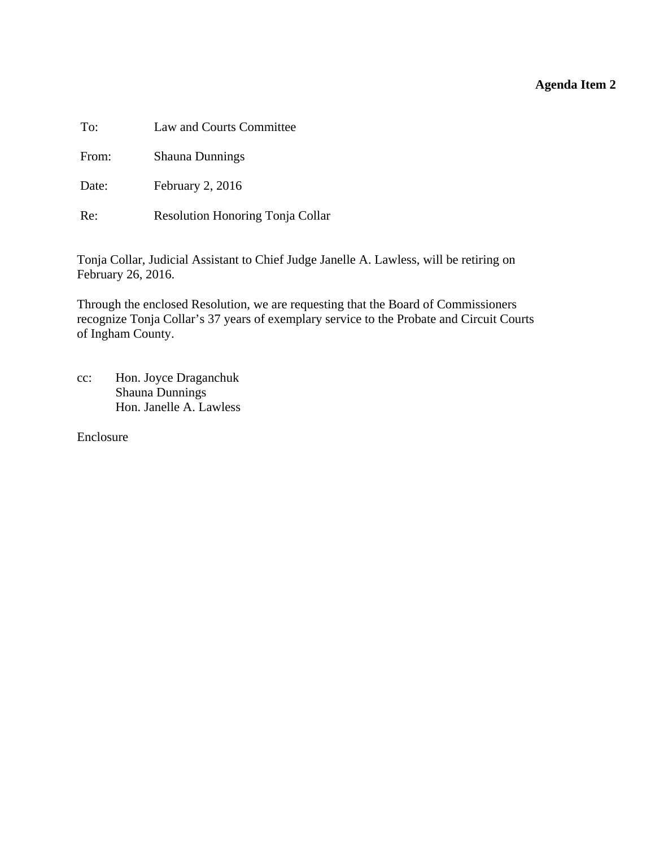### **Agenda Item 2**

<span id="page-5-0"></span>To: Law and Courts Committee

From: Shauna Dunnings

Date: February 2, 2016

Re: Resolution Honoring Tonja Collar

Tonja Collar, Judicial Assistant to Chief Judge Janelle A. Lawless, will be retiring on February 26, 2016.

Through the enclosed Resolution, we are requesting that the Board of Commissioners recognize Tonja Collar's 37 years of exemplary service to the Probate and Circuit Courts of Ingham County.

cc: Hon. Joyce Draganchuk Shauna Dunnings Hon. Janelle A. Lawless

Enclosure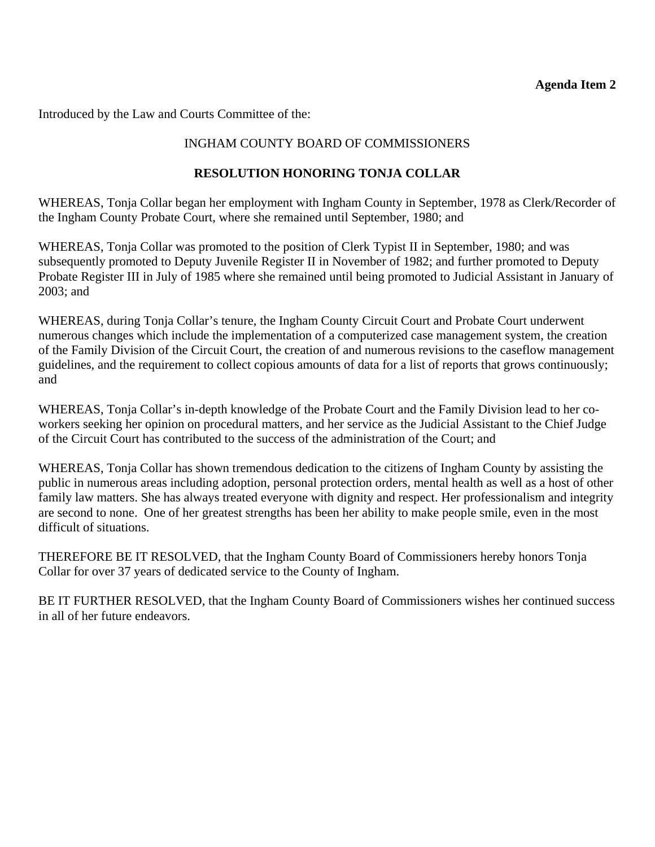### **Agenda Item 2**

Introduced by the Law and Courts Committee of the:

# INGHAM COUNTY BOARD OF COMMISSIONERS

# **RESOLUTION HONORING TONJA COLLAR**

WHEREAS, Tonja Collar began her employment with Ingham County in September, 1978 as Clerk/Recorder of the Ingham County Probate Court, where she remained until September, 1980; and

WHEREAS, Tonja Collar was promoted to the position of Clerk Typist II in September, 1980; and was subsequently promoted to Deputy Juvenile Register II in November of 1982; and further promoted to Deputy Probate Register III in July of 1985 where she remained until being promoted to Judicial Assistant in January of 2003; and

WHEREAS, during Tonja Collar's tenure, the Ingham County Circuit Court and Probate Court underwent numerous changes which include the implementation of a computerized case management system, the creation of the Family Division of the Circuit Court, the creation of and numerous revisions to the caseflow management guidelines, and the requirement to collect copious amounts of data for a list of reports that grows continuously; and

WHEREAS, Tonja Collar's in-depth knowledge of the Probate Court and the Family Division lead to her coworkers seeking her opinion on procedural matters, and her service as the Judicial Assistant to the Chief Judge of the Circuit Court has contributed to the success of the administration of the Court; and

WHEREAS, Tonja Collar has shown tremendous dedication to the citizens of Ingham County by assisting the public in numerous areas including adoption, personal protection orders, mental health as well as a host of other family law matters. She has always treated everyone with dignity and respect. Her professionalism and integrity are second to none. One of her greatest strengths has been her ability to make people smile, even in the most difficult of situations.

THEREFORE BE IT RESOLVED, that the Ingham County Board of Commissioners hereby honors Tonja Collar for over 37 years of dedicated service to the County of Ingham.

BE IT FURTHER RESOLVED, that the Ingham County Board of Commissioners wishes her continued success in all of her future endeavors.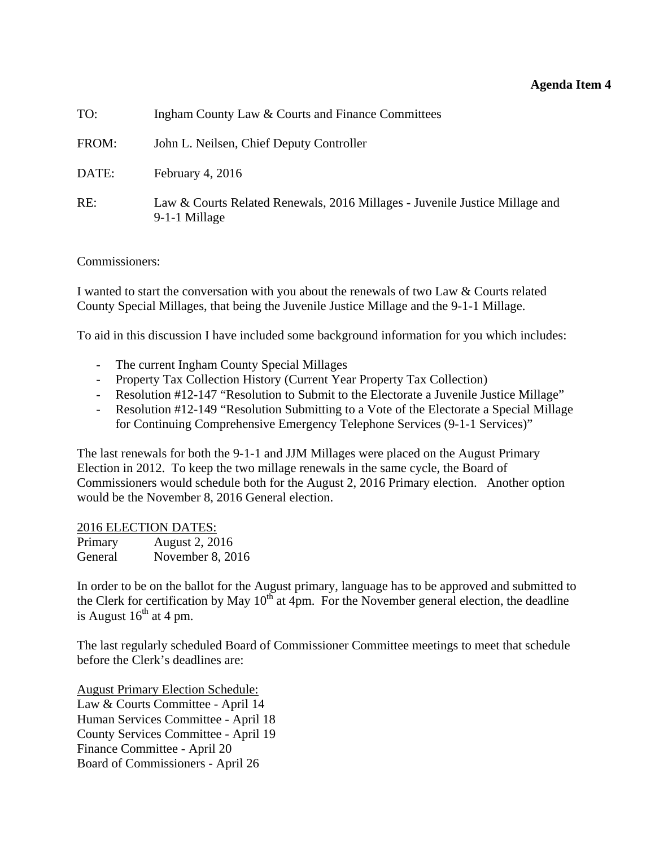### **Agenda Item 4**

<span id="page-7-0"></span>

| TO:   | Ingham County Law & Courts and Finance Committees                                            |
|-------|----------------------------------------------------------------------------------------------|
| FROM: | John L. Neilsen, Chief Deputy Controller                                                     |
| DATE: | February 4, $2016$                                                                           |
| RE:   | Law & Courts Related Renewals, 2016 Millages - Juvenile Justice Millage and<br>9-1-1 Millage |

Commissioners:

I wanted to start the conversation with you about the renewals of two Law & Courts related County Special Millages, that being the Juvenile Justice Millage and the 9-1-1 Millage.

To aid in this discussion I have included some background information for you which includes:

- The current Ingham County Special Millages
- Property Tax Collection History (Current Year Property Tax Collection)
- Resolution #12-147 "Resolution to Submit to the Electorate a Juvenile Justice Millage"
- Resolution #12-149 "Resolution Submitting to a Vote of the Electorate a Special Millage for Continuing Comprehensive Emergency Telephone Services (9-1-1 Services)"

The last renewals for both the 9-1-1 and JJM Millages were placed on the August Primary Election in 2012. To keep the two millage renewals in the same cycle, the Board of Commissioners would schedule both for the August 2, 2016 Primary election. Another option would be the November 8, 2016 General election.

2016 ELECTION DATES:

| Primary | August 2, 2016   |
|---------|------------------|
| General | November 8, 2016 |

In order to be on the ballot for the August primary, language has to be approved and submitted to the Clerk for certification by May  $10^{th}$  at 4pm. For the November general election, the deadline is August  $16^{th}$  at 4 pm.

The last regularly scheduled Board of Commissioner Committee meetings to meet that schedule before the Clerk's deadlines are:

August Primary Election Schedule: Law & Courts Committee - April 14 Human Services Committee - April 18 County Services Committee - April 19 Finance Committee - April 20 Board of Commissioners - April 26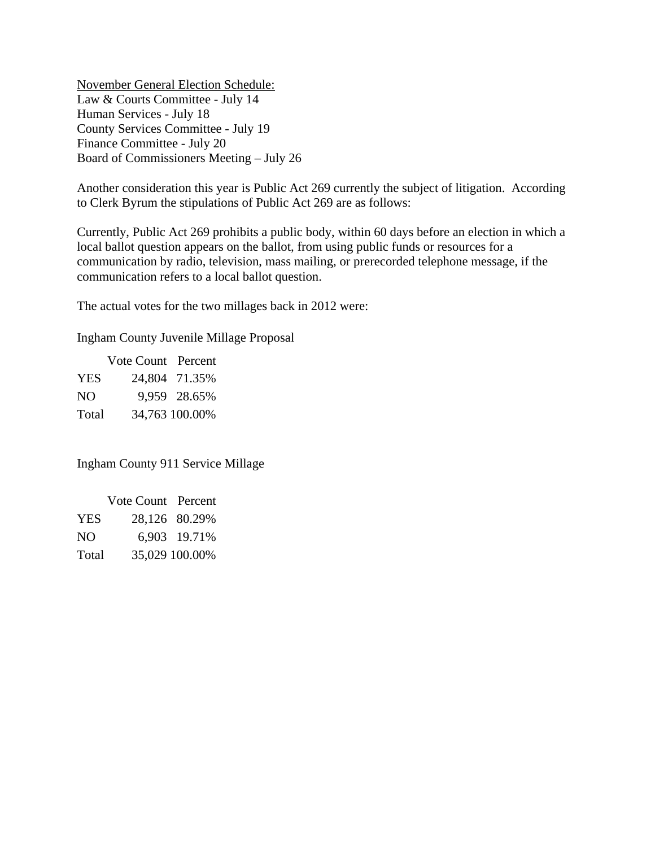November General Election Schedule: Law & Courts Committee - July 14 Human Services - July 18 County Services Committee - July 19 Finance Committee - July 20 Board of Commissioners Meeting – July 26

Another consideration this year is Public Act 269 currently the subject of litigation. According to Clerk Byrum the stipulations of Public Act 269 are as follows:

Currently, Public Act 269 prohibits a public body, within 60 days before an election in which a local ballot question appears on the ballot, from using public funds or resources for a communication by radio, television, mass mailing, or prerecorded telephone message, if the communication refers to a local ballot question.

The actual votes for the two millages back in 2012 were:

Ingham County Juvenile Millage Proposal

 Vote Count Percent YES 24,804 71.35% NO 9,959 28.65% Total 34,763 100.00%

Ingham County 911 Service Millage

|            | Vote Count Percent |                |
|------------|--------------------|----------------|
| <b>YES</b> |                    | 28,126 80.29%  |
| NO.        |                    | 6,903 19.71%   |
| Total      |                    | 35,029 100.00% |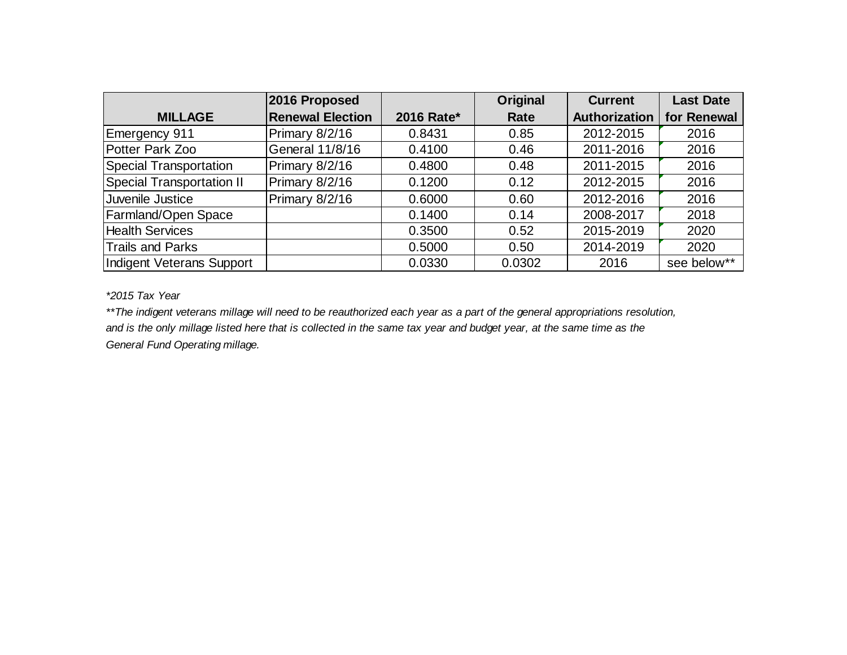|                                  | 2016 Proposed           |            | Original | <b>Current</b>       | <b>Last Date</b> |
|----------------------------------|-------------------------|------------|----------|----------------------|------------------|
| <b>MILLAGE</b>                   | <b>Renewal Election</b> | 2016 Rate* | Rate     | <b>Authorization</b> | for Renewal      |
| Emergency 911                    | Primary 8/2/16          | 0.8431     | 0.85     | 2012-2015            | 2016             |
| Potter Park Zoo                  | General 11/8/16         | 0.4100     | 0.46     | 2011-2016            | 2016             |
| <b>Special Transportation</b>    | Primary 8/2/16          | 0.4800     | 0.48     | 2011-2015            | 2016             |
| <b>Special Transportation II</b> | Primary 8/2/16          | 0.1200     | 0.12     | 2012-2015            | 2016             |
| Juvenile Justice                 | Primary 8/2/16          | 0.6000     | 0.60     | 2012-2016            | 2016             |
| <b>Farmland/Open Space</b>       |                         | 0.1400     | 0.14     | 2008-2017            | 2018             |
| <b>Health Services</b>           |                         | 0.3500     | 0.52     | 2015-2019            | 2020             |
| <b>Trails and Parks</b>          |                         | 0.5000     | 0.50     | 2014-2019            | 2020             |
| Indigent Veterans Support        |                         | 0.0330     | 0.0302   | 2016                 | see below**      |

*\*2015 Tax Year*

*\*\*The indigent veterans millage will need to be reauthorized each year as a part of the general appropriations resolution, and is the only millage listed here that is collected in the same tax year and budget year, at the same time as the General Fund Operating millage.*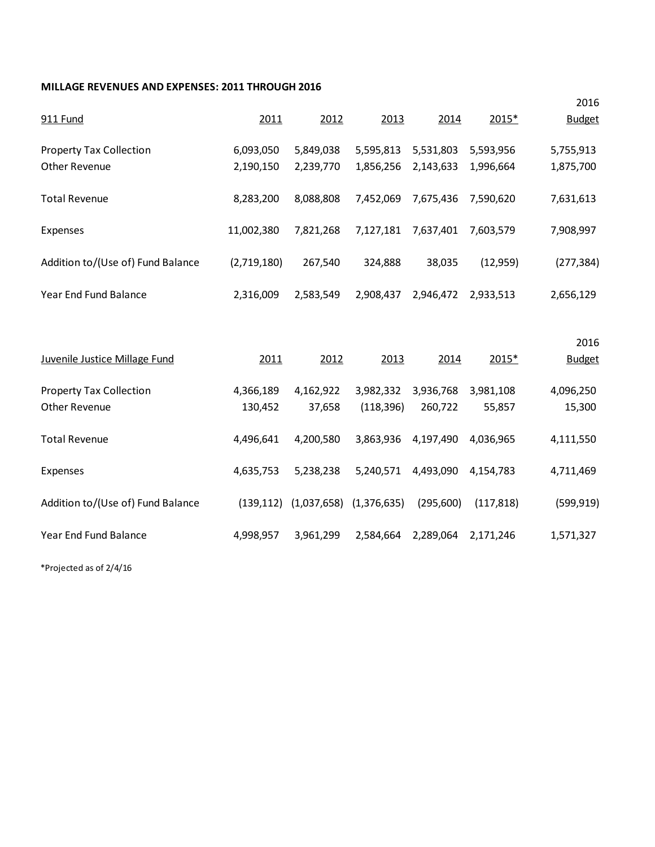#### **MILLAGE REVENUES AND EXPENSES: 2011 THROUGH 2016**

|                                   |             |             |             |           |            | 2016          |
|-----------------------------------|-------------|-------------|-------------|-----------|------------|---------------|
| 911 Fund                          | 2011        | 2012        | 2013        | 2014      | 2015*      | <b>Budget</b> |
| <b>Property Tax Collection</b>    | 6,093,050   | 5,849,038   | 5,595,813   | 5,531,803 | 5,593,956  | 5,755,913     |
| Other Revenue                     | 2,190,150   | 2,239,770   | 1,856,256   | 2,143,633 | 1,996,664  | 1,875,700     |
| <b>Total Revenue</b>              | 8,283,200   | 8,088,808   | 7,452,069   | 7,675,436 | 7,590,620  | 7,631,613     |
| Expenses                          | 11,002,380  | 7,821,268   | 7,127,181   | 7,637,401 | 7,603,579  | 7,908,997     |
| Addition to/(Use of) Fund Balance | (2,719,180) | 267,540     | 324,888     | 38,035    | (12,959)   | (277, 384)    |
| Year End Fund Balance             | 2,316,009   | 2,583,549   | 2,908,437   | 2,946,472 | 2,933,513  | 2,656,129     |
|                                   |             |             |             |           |            | 2016          |
| Juvenile Justice Millage Fund     | 2011        | 2012        | 2013        | 2014      | 2015*      | <b>Budget</b> |
| <b>Property Tax Collection</b>    | 4,366,189   | 4,162,922   | 3,982,332   | 3,936,768 | 3,981,108  | 4,096,250     |
| Other Revenue                     | 130,452     | 37,658      | (118, 396)  | 260,722   | 55,857     | 15,300        |
| <b>Total Revenue</b>              | 4,496,641   | 4,200,580   | 3,863,936   | 4,197,490 | 4,036,965  | 4,111,550     |
| Expenses                          | 4,635,753   | 5,238,238   | 5,240,571   | 4,493,090 | 4,154,783  | 4,711,469     |
| Addition to/(Use of) Fund Balance |             | (1,037,658) | (1,376,635) | (295,600) | (117, 818) | (599, 919)    |
|                                   | (139, 112)  |             |             |           |            |               |

\*Projected as of 2/4/16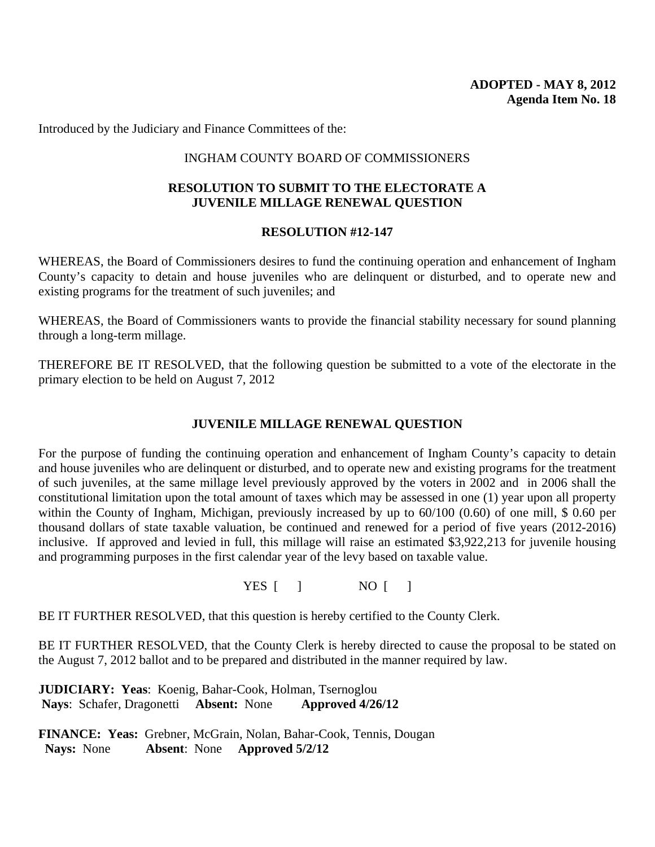Introduced by the Judiciary and Finance Committees of the:

### INGHAM COUNTY BOARD OF COMMISSIONERS

### **RESOLUTION TO SUBMIT TO THE ELECTORATE A JUVENILE MILLAGE RENEWAL QUESTION**

### **RESOLUTION #12-147**

WHEREAS, the Board of Commissioners desires to fund the continuing operation and enhancement of Ingham County's capacity to detain and house juveniles who are delinquent or disturbed, and to operate new and existing programs for the treatment of such juveniles; and

WHEREAS, the Board of Commissioners wants to provide the financial stability necessary for sound planning through a long-term millage.

THEREFORE BE IT RESOLVED, that the following question be submitted to a vote of the electorate in the primary election to be held on August 7, 2012

### **JUVENILE MILLAGE RENEWAL QUESTION**

For the purpose of funding the continuing operation and enhancement of Ingham County's capacity to detain and house juveniles who are delinquent or disturbed, and to operate new and existing programs for the treatment of such juveniles, at the same millage level previously approved by the voters in 2002 and in 2006 shall the constitutional limitation upon the total amount of taxes which may be assessed in one (1) year upon all property within the County of Ingham, Michigan, previously increased by up to 60/100 (0.60) of one mill, \$ 0.60 per thousand dollars of state taxable valuation, be continued and renewed for a period of five years (2012-2016) inclusive. If approved and levied in full, this millage will raise an estimated \$3,922,213 for juvenile housing and programming purposes in the first calendar year of the levy based on taxable value.

YES [ ] NO [ ]

BE IT FURTHER RESOLVED, that this question is hereby certified to the County Clerk.

BE IT FURTHER RESOLVED, that the County Clerk is hereby directed to cause the proposal to be stated on the August 7, 2012 ballot and to be prepared and distributed in the manner required by law.

**JUDICIARY: Yeas**: Koenig, Bahar-Cook, Holman, Tsernoglou **Nays**: Schafer, Dragonetti **Absent:** None **Approved 4/26/12** 

**FINANCE: Yeas:** Grebner, McGrain, Nolan, Bahar-Cook, Tennis, Dougan **Nays:** None **Absent**: None **Approved 5/2/12**